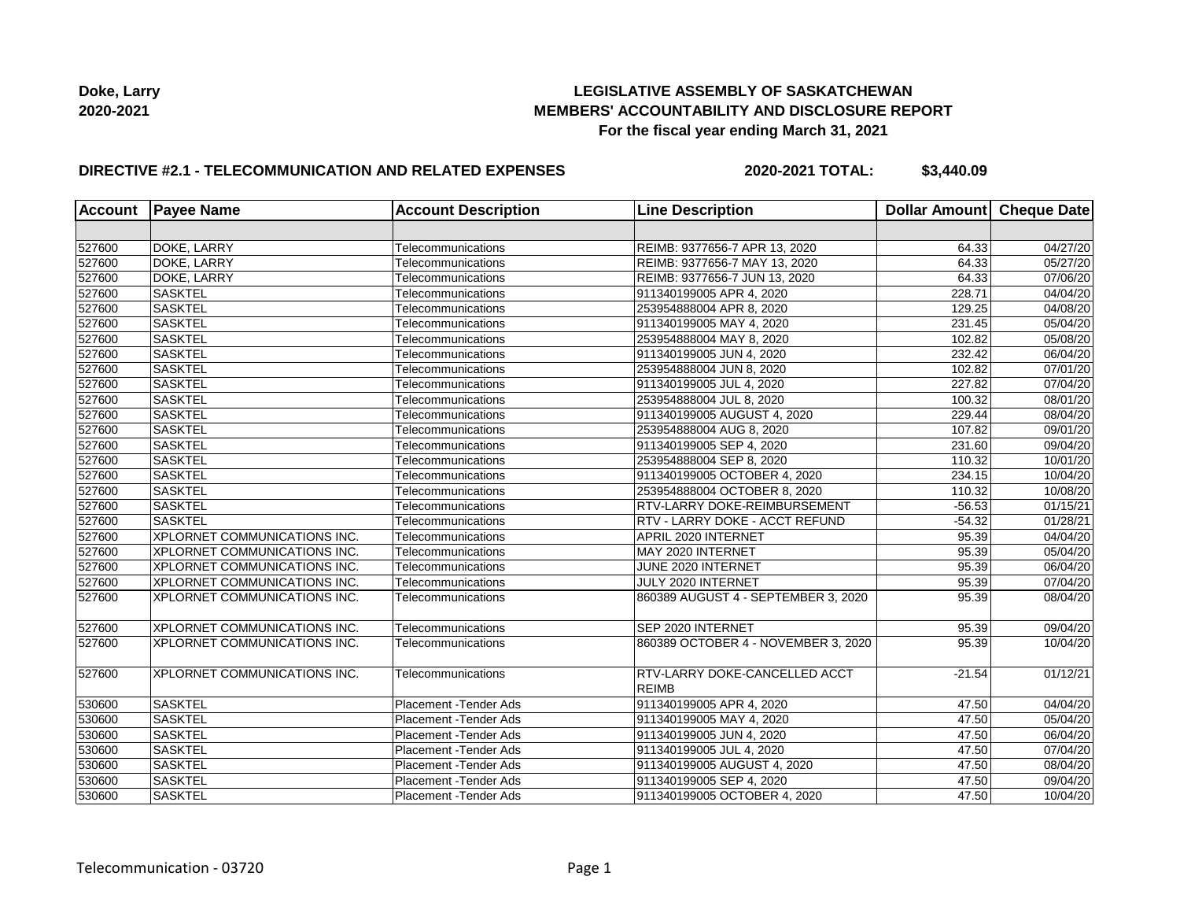

## **DIRECTIVE #2.1 - TELECOMMUNICATION AND RELATED EXPENSES**

**2020-2021 TOTAL: \$3,440.09**

| Account | <b>Payee Name</b>                   | <b>Account Description</b> | <b>Line Description</b>                              | Dollar Amount | Cheque Date           |
|---------|-------------------------------------|----------------------------|------------------------------------------------------|---------------|-----------------------|
|         |                                     |                            |                                                      |               |                       |
| 527600  | DOKE, LARRY                         | Telecommunications         | REIMB: 9377656-7 APR 13, 2020                        | 64.33         | 04/27/20              |
| 527600  | DOKE, LARRY                         | Telecommunications         | REIMB: 9377656-7 MAY 13, 2020                        | 64.33         | 05/27/20              |
| 527600  | DOKE, LARRY                         | Telecommunications         | REIMB: 9377656-7 JUN 13, 2020                        | 64.33         | 07/06/20              |
| 527600  | <b>SASKTEL</b>                      | Telecommunications         | 911340199005 APR 4, 2020                             | 228.71        | 04/04/20              |
| 527600  | <b>SASKTEL</b>                      | Telecommunications         | 253954888004 APR 8, 2020                             | 129.25        | 04/08/20              |
| 527600  | <b>SASKTEL</b>                      | Telecommunications         | 911340199005 MAY 4, 2020                             | 231.45        | 05/04/20              |
| 527600  | <b>SASKTEL</b>                      | Telecommunications         | 253954888004 MAY 8, 2020                             | 102.82        | 05/08/20              |
| 527600  | <b>SASKTEL</b>                      | Telecommunications         | 911340199005 JUN 4, 2020                             | 232.42        | 06/04/20              |
| 527600  | <b>SASKTEL</b>                      | Telecommunications         | 253954888004 JUN 8, 2020                             | 102.82        | 07/01/20              |
| 527600  | <b>SASKTEL</b>                      | Telecommunications         | 911340199005 JUL 4, 2020                             | 227.82        | 07/04/20              |
| 527600  | <b>SASKTEL</b>                      | Telecommunications         | 253954888004 JUL 8, 2020                             | 100.32        | 08/01/20              |
| 527600  | <b>SASKTEL</b>                      | Telecommunications         | 911340199005 AUGUST 4, 2020                          | 229.44        | 08/04/20              |
| 527600  | <b>SASKTEL</b>                      | Telecommunications         | 253954888004 AUG 8, 2020                             | 107.82        | 09/01/20              |
| 527600  | <b>SASKTEL</b>                      | Telecommunications         | 911340199005 SEP 4, 2020                             | 231.60        | 09/04/20              |
| 527600  | <b>SASKTEL</b>                      | Telecommunications         | 253954888004 SEP 8, 2020                             | 110.32        | 10/01/20              |
| 527600  | <b>SASKTEL</b>                      | Telecommunications         | 911340199005 OCTOBER 4, 2020                         | 234.15        | 10/04/20              |
| 527600  | <b>SASKTEL</b>                      | Telecommunications         | 253954888004 OCTOBER 8, 2020                         | 110.32        | 10/08/20              |
| 527600  | <b>SASKTEL</b>                      | Telecommunications         | RTV-LARRY DOKE-REIMBURSEMENT                         | $-56.53$      | 01/15/21              |
| 527600  | <b>SASKTEL</b>                      | Telecommunications         | RTV - LARRY DOKE - ACCT REFUND                       | $-54.32$      | $\overline{01}/28/21$ |
| 527600  | XPLORNET COMMUNICATIONS INC.        | Telecommunications         | APRIL 2020 INTERNET                                  | 95.39         | 04/04/20              |
| 527600  | XPLORNET COMMUNICATIONS INC.        | Telecommunications         | MAY 2020 INTERNET                                    | 95.39         | 05/04/20              |
| 527600  | XPLORNET COMMUNICATIONS INC.        | Telecommunications         | JUNE 2020 INTERNET                                   | 95.39         | 06/04/20              |
| 527600  | <b>XPLORNET COMMUNICATIONS INC.</b> | Telecommunications         | JULY 2020 INTERNET                                   | 95.39         | 07/04/20              |
| 527600  | <b>XPLORNET COMMUNICATIONS INC.</b> | Telecommunications         | 860389 AUGUST 4 - SEPTEMBER 3, 2020                  | 95.39         | 08/04/20              |
| 527600  | XPLORNET COMMUNICATIONS INC.        | Telecommunications         | SEP 2020 INTERNET                                    | 95.39         | $\overline{09}/04/20$ |
| 527600  | XPLORNET COMMUNICATIONS INC.        | Telecommunications         | 860389 OCTOBER 4 - NOVEMBER 3, 2020                  | 95.39         | 10/04/20              |
| 527600  | XPLORNET COMMUNICATIONS INC.        | Telecommunications         | <b>RTV-LARRY DOKE-CANCELLED ACCT</b><br><b>REIMB</b> | $-21.54$      | 01/12/21              |
| 530600  | <b>SASKTEL</b>                      | Placement - Tender Ads     | 911340199005 APR 4, 2020                             | 47.50         | 04/04/20              |
| 530600  | <b>SASKTEL</b>                      | Placement - Tender Ads     | 911340199005 MAY 4, 2020                             | 47.50         | 05/04/20              |
| 530600  | <b>SASKTEL</b>                      | Placement - Tender Ads     | 911340199005 JUN 4, 2020                             | 47.50         | 06/04/20              |
| 530600  | <b>SASKTEL</b>                      | Placement - Tender Ads     | 911340199005 JUL 4, 2020                             | 47.50         | 07/04/20              |
| 530600  | <b>SASKTEL</b>                      | Placement - Tender Ads     | 911340199005 AUGUST 4, 2020                          | 47.50         | 08/04/20              |
| 530600  | <b>SASKTEL</b>                      | Placement - Tender Ads     | 911340199005 SEP 4, 2020                             | 47.50         | 09/04/20              |
| 530600  | <b>SASKTEL</b>                      | Placement - Tender Ads     | 911340199005 OCTOBER 4, 2020                         | 47.50         | 10/04/20              |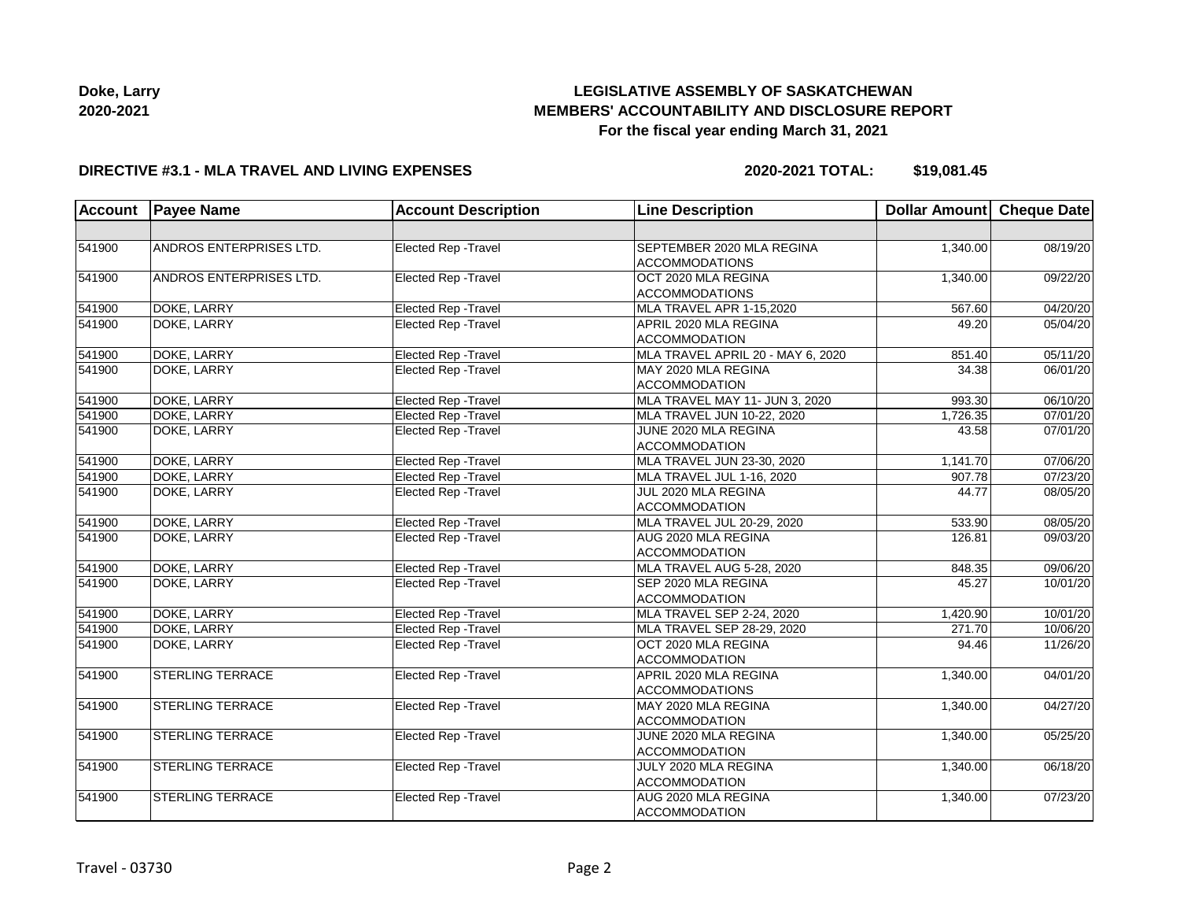

### **DIRECTIVE #3.1 - MLA TRAVEL AND LIVING EXPENSES**

**2020-2021 TOTAL: \$19,081.45**

| <b>Account</b> | <b>Payee Name</b>       | <b>Account Description</b>  | <b>Line Description</b>           | Dollar Amount | <b>Cheque Date</b> |
|----------------|-------------------------|-----------------------------|-----------------------------------|---------------|--------------------|
|                |                         |                             |                                   |               |                    |
| 541900         | ANDROS ENTERPRISES LTD. | Elected Rep - Travel        | SEPTEMBER 2020 MLA REGINA         | 1,340.00      | 08/19/20           |
|                |                         |                             | <b>ACCOMMODATIONS</b>             |               |                    |
| 541900         | ANDROS ENTERPRISES LTD. | <b>Elected Rep - Travel</b> | OCT 2020 MLA REGINA               | 1,340.00      | 09/22/20           |
|                |                         |                             | <b>ACCOMMODATIONS</b>             |               |                    |
| 541900         | DOKE, LARRY             | Elected Rep - Travel        | MLA TRAVEL APR 1-15,2020          | 567.60        | 04/20/20           |
| 541900         | DOKE, LARRY             | Elected Rep - Travel        | APRIL 2020 MLA REGINA             | 49.20         | 05/04/20           |
|                |                         |                             | <b>ACCOMMODATION</b>              |               |                    |
| 541900         | DOKE, LARRY             | Elected Rep - Travel        | MLA TRAVEL APRIL 20 - MAY 6, 2020 | 851.40        | 05/11/20           |
| 541900         | DOKE, LARRY             | Elected Rep - Travel        | MAY 2020 MLA REGINA               | 34.38         | 06/01/20           |
|                |                         |                             | <b>ACCOMMODATION</b>              |               |                    |
| 541900         | DOKE, LARRY             | <b>Elected Rep - Travel</b> | MLA TRAVEL MAY 11- JUN 3, 2020    | 993.30        | 06/10/20           |
| 541900         | DOKE, LARRY             | Elected Rep - Travel        | MLA TRAVEL JUN 10-22, 2020        | 1,726.35      | 07/01/20           |
| 541900         | DOKE, LARRY             | Elected Rep - Travel        | JUNE 2020 MLA REGINA              | 43.58         | 07/01/20           |
|                |                         |                             | <b>ACCOMMODATION</b>              |               |                    |
| 541900         | DOKE, LARRY             | <b>Elected Rep - Travel</b> | MLA TRAVEL JUN 23-30, 2020        | 1,141.70      | 07/06/20           |
| 541900         | DOKE, LARRY             | Elected Rep - Travel        | MLA TRAVEL JUL 1-16, 2020         | 907.78        | 07/23/20           |
| 541900         | DOKE, LARRY             | Elected Rep - Travel        | JUL 2020 MLA REGINA               | 44.77         | 08/05/20           |
|                |                         |                             | <b>ACCOMMODATION</b>              |               |                    |
| 541900         | DOKE, LARRY             | Elected Rep - Travel        | MLA TRAVEL JUL 20-29, 2020        | 533.90        | 08/05/20           |
| 541900         | DOKE, LARRY             | <b>Elected Rep - Travel</b> | AUG 2020 MLA REGINA               | 126.81        | 09/03/20           |
|                |                         |                             | ACCOMMODATION                     |               |                    |
| 541900         | DOKE, LARRY             | Elected Rep - Travel        | MLA TRAVEL AUG 5-28, 2020         | 848.35        | 09/06/20           |
| 541900         | <b>DOKE, LARRY</b>      | <b>Elected Rep - Travel</b> | SEP 2020 MLA REGINA               | 45.27         | 10/01/20           |
|                |                         |                             | <b>ACCOMMODATION</b>              |               |                    |
| 541900         | DOKE, LARRY             | Elected Rep - Travel        | MLA TRAVEL SEP 2-24, 2020         | 1,420.90      | 10/01/20           |
| 541900         | DOKE, LARRY             | Elected Rep - Travel        | MLA TRAVEL SEP 28-29, 2020        | 271.70        | 10/06/20           |
| 541900         | DOKE, LARRY             | Elected Rep - Travel        | OCT 2020 MLA REGINA               | 94.46         | 11/26/20           |
|                |                         |                             | <b>ACCOMMODATION</b>              |               |                    |
| 541900         | <b>STERLING TERRACE</b> | Elected Rep - Travel        | APRIL 2020 MLA REGINA             | 1,340.00      | 04/01/20           |
|                |                         |                             | <b>ACCOMMODATIONS</b>             |               |                    |
| 541900         | <b>STERLING TERRACE</b> | Elected Rep - Travel        | MAY 2020 MLA REGINA               | 1,340.00      | 04/27/20           |
|                |                         |                             | <b>ACCOMMODATION</b>              |               |                    |
| 541900         | <b>STERLING TERRACE</b> | Elected Rep - Travel        | JUNE 2020 MLA REGINA              | 1,340.00      | 05/25/20           |
|                |                         |                             | <b>ACCOMMODATION</b>              |               |                    |
| 541900         | <b>STERLING TERRACE</b> | Elected Rep - Travel        | JULY 2020 MLA REGINA              | 1,340.00      | 06/18/20           |
|                |                         |                             | <b>ACCOMMODATION</b>              |               |                    |
| 541900         | <b>STERLING TERRACE</b> | <b>Elected Rep - Travel</b> | AUG 2020 MLA REGINA               | 1,340.00      | 07/23/20           |
|                |                         |                             | <b>ACCOMMODATION</b>              |               |                    |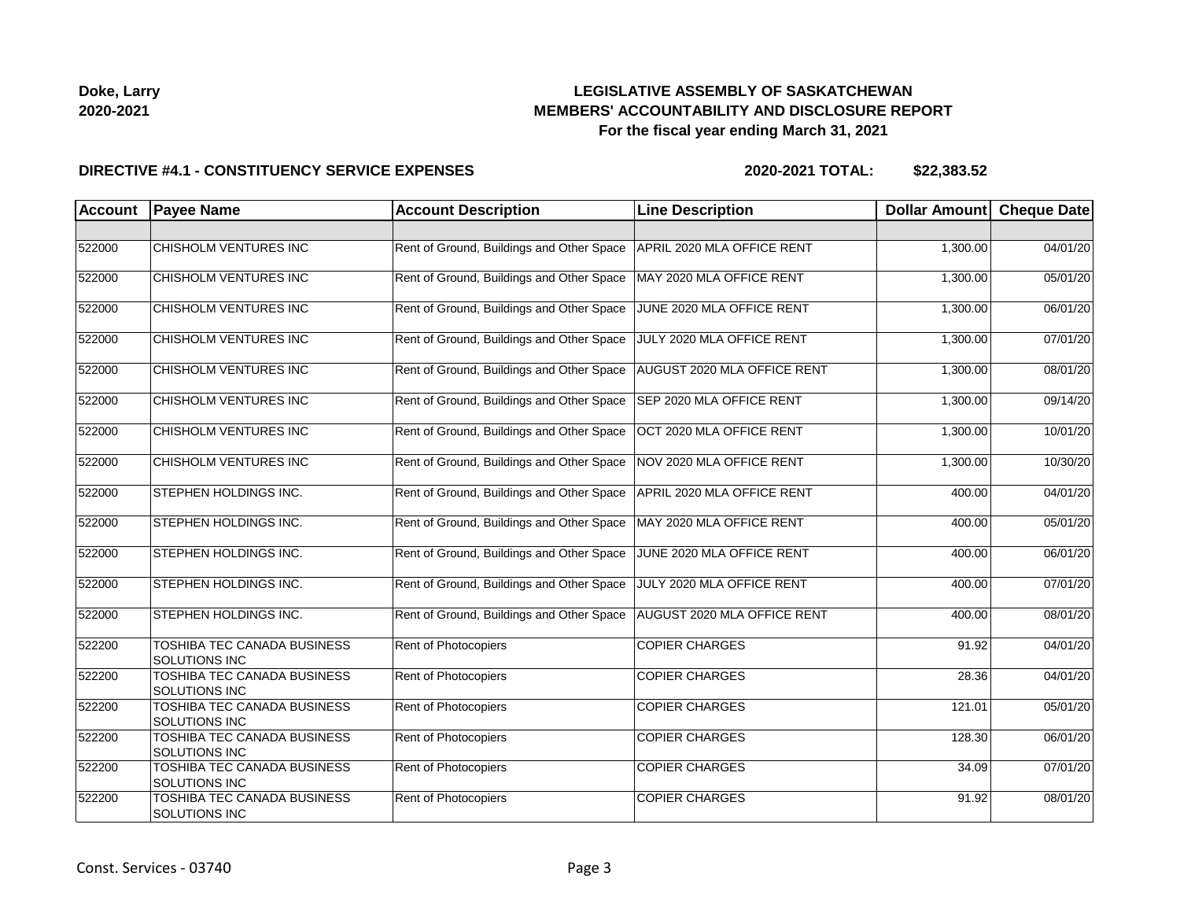

| Doke, Larry |  |
|-------------|--|
| 2020-2021   |  |

### **DIRECTIVE #4.1 - CONSTITUENCY SERVICE EXPENSES**

| <b>Account</b> | <b>Payee Name</b>                            | <b>Account Description</b>                | <b>Line Description</b>     | Dollar Amount Cheque Date |          |
|----------------|----------------------------------------------|-------------------------------------------|-----------------------------|---------------------------|----------|
|                |                                              |                                           |                             |                           |          |
| 522000         | CHISHOLM VENTURES INC                        | Rent of Ground, Buildings and Other Space | APRIL 2020 MLA OFFICE RENT  | 1,300.00                  | 04/01/20 |
| 522000         | CHISHOLM VENTURES INC                        | Rent of Ground, Buildings and Other Space | MAY 2020 MLA OFFICE RENT    | 1,300.00                  | 05/01/20 |
| 522000         | CHISHOLM VENTURES INC                        | Rent of Ground, Buildings and Other Space | JUNE 2020 MLA OFFICE RENT   | 1,300.00                  | 06/01/20 |
| 522000         | CHISHOLM VENTURES INC                        | Rent of Ground, Buildings and Other Space | JULY 2020 MLA OFFICE RENT   | 1,300.00                  | 07/01/20 |
| 522000         | CHISHOLM VENTURES INC                        | Rent of Ground, Buildings and Other Space | AUGUST 2020 MLA OFFICE RENT | 1,300.00                  | 08/01/20 |
| 522000         | CHISHOLM VENTURES INC                        | Rent of Ground, Buildings and Other Space | SEP 2020 MLA OFFICE RENT    | 1,300.00                  | 09/14/20 |
| 522000         | CHISHOLM VENTURES INC                        | Rent of Ground, Buildings and Other Space | OCT 2020 MLA OFFICE RENT    | 1,300.00                  | 10/01/20 |
| 522000         | CHISHOLM VENTURES INC                        | Rent of Ground, Buildings and Other Space | NOV 2020 MLA OFFICE RENT    | 1,300.00                  | 10/30/20 |
| 522000         | STEPHEN HOLDINGS INC.                        | Rent of Ground, Buildings and Other Space | APRIL 2020 MLA OFFICE RENT  | 400.00                    | 04/01/20 |
| 522000         | STEPHEN HOLDINGS INC.                        | Rent of Ground, Buildings and Other Space | MAY 2020 MLA OFFICE RENT    | 400.00                    | 05/01/20 |
| 522000         | STEPHEN HOLDINGS INC.                        | Rent of Ground, Buildings and Other Space | JUNE 2020 MLA OFFICE RENT   | 400.00                    | 06/01/20 |
| 522000         | STEPHEN HOLDINGS INC.                        | Rent of Ground, Buildings and Other Space | JULY 2020 MLA OFFICE RENT   | 400.00                    | 07/01/20 |
| 522000         | STEPHEN HOLDINGS INC.                        | Rent of Ground, Buildings and Other Space | AUGUST 2020 MLA OFFICE RENT | 400.00                    | 08/01/20 |
| 522200         | TOSHIBA TEC CANADA BUSINESS<br>SOLUTIONS INC | Rent of Photocopiers                      | <b>COPIER CHARGES</b>       | 91.92                     | 04/01/20 |
| 522200         | TOSHIBA TEC CANADA BUSINESS<br>SOLUTIONS INC | Rent of Photocopiers                      | <b>COPIER CHARGES</b>       | 28.36                     | 04/01/20 |
| 522200         | TOSHIBA TEC CANADA BUSINESS<br>SOLUTIONS INC | Rent of Photocopiers                      | <b>COPIER CHARGES</b>       | 121.01                    | 05/01/20 |
| 522200         | TOSHIBA TEC CANADA BUSINESS<br>SOLUTIONS INC | Rent of Photocopiers                      | <b>COPIER CHARGES</b>       | 128.30                    | 06/01/20 |
| 522200         | TOSHIBA TEC CANADA BUSINESS<br>SOLUTIONS INC | Rent of Photocopiers                      | <b>COPIER CHARGES</b>       | 34.09                     | 07/01/20 |
| 522200         | TOSHIBA TEC CANADA BUSINESS<br>SOLUTIONS INC | Rent of Photocopiers                      | <b>COPIER CHARGES</b>       | 91.92                     | 08/01/20 |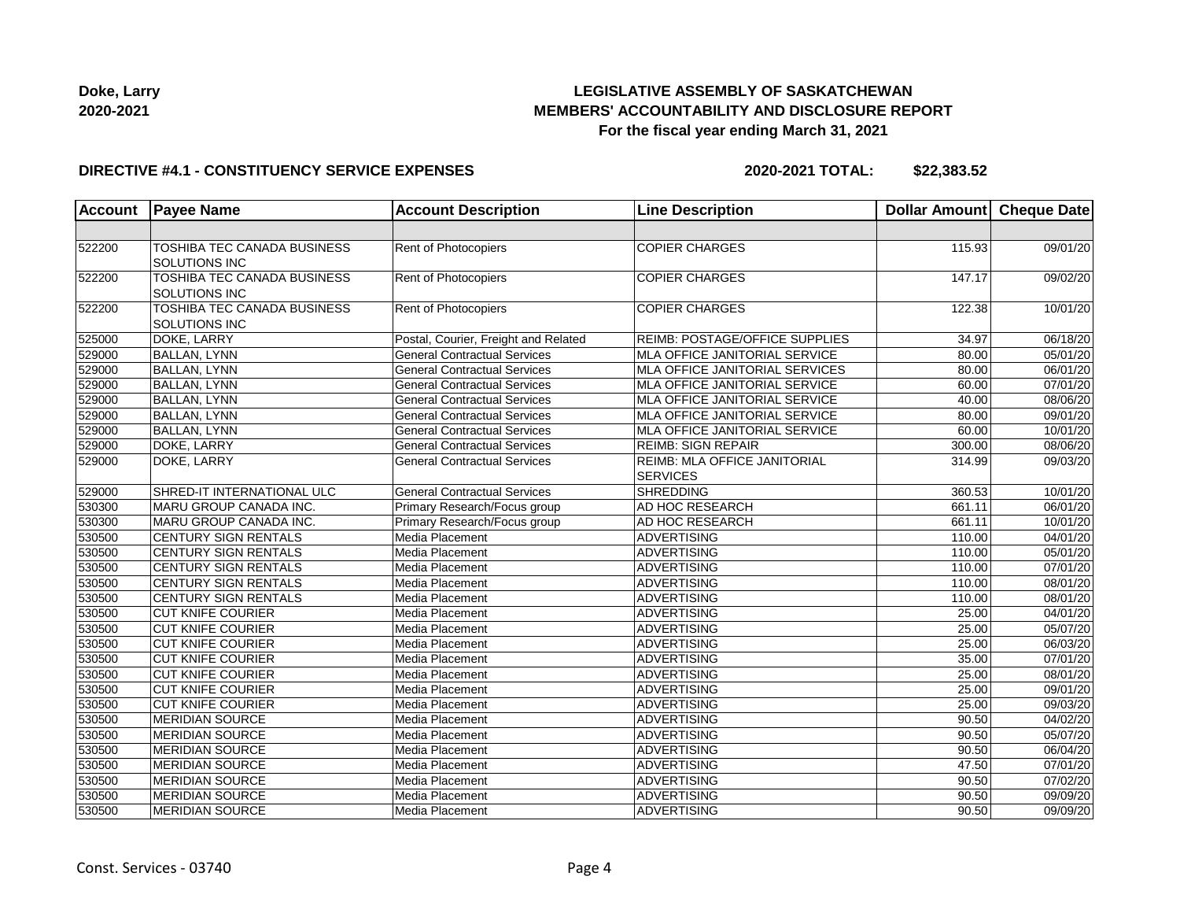

#### **DIRECTIVE #4.1 - CONSTITUENCY SERVICE EXPENSES**

| <b>Account</b> | <b>Payee Name</b>                                          | <b>Account Description</b>           | <b>Line Description</b>                                | Dollar Amount | <b>Cheque Date</b> |
|----------------|------------------------------------------------------------|--------------------------------------|--------------------------------------------------------|---------------|--------------------|
|                |                                                            |                                      |                                                        |               |                    |
| 522200         | TOSHIBA TEC CANADA BUSINESS<br>SOLUTIONS INC               | Rent of Photocopiers                 | <b>COPIER CHARGES</b>                                  | 115.93        | 09/01/20           |
| 522200         | <b>TOSHIBA TEC CANADA BUSINESS</b><br><b>SOLUTIONS INC</b> | Rent of Photocopiers                 | <b>COPIER CHARGES</b>                                  | 147.17        | 09/02/20           |
| 522200         | <b>TOSHIBA TEC CANADA BUSINESS</b><br>SOLUTIONS INC        | Rent of Photocopiers                 | <b>COPIER CHARGES</b>                                  | 122.38        | 10/01/20           |
| 525000         | DOKE, LARRY                                                | Postal, Courier, Freight and Related | REIMB: POSTAGE/OFFICE SUPPLIES                         | 34.97         | 06/18/20           |
| 529000         | <b>BALLAN, LYNN</b>                                        | <b>General Contractual Services</b>  | <b>MLA OFFICE JANITORIAL SERVICE</b>                   | 80.00         | 05/01/20           |
| 529000         | <b>BALLAN, LYNN</b>                                        | <b>General Contractual Services</b>  | MLA OFFICE JANITORIAL SERVICES                         | 80.00         | 06/01/20           |
| 529000         | <b>BALLAN, LYNN</b>                                        | <b>General Contractual Services</b>  | MLA OFFICE JANITORIAL SERVICE                          | 60.00         | 07/01/20           |
| 529000         | <b>BALLAN, LYNN</b>                                        | <b>General Contractual Services</b>  | <b>MLA OFFICE JANITORIAL SERVICE</b>                   | 40.00         | 08/06/20           |
| 529000         | <b>BALLAN, LYNN</b>                                        | <b>General Contractual Services</b>  | <b>MLA OFFICE JANITORIAL SERVICE</b>                   | 80.00         | 09/01/20           |
| 529000         | <b>BALLAN, LYNN</b>                                        | <b>General Contractual Services</b>  | <b>MLA OFFICE JANITORIAL SERVICE</b>                   | 60.00         | 10/01/20           |
| 529000         | DOKE, LARRY                                                | <b>General Contractual Services</b>  | <b>REIMB: SIGN REPAIR</b>                              | 300.00        | 08/06/20           |
| 529000         | DOKE, LARRY                                                | <b>General Contractual Services</b>  | <b>REIMB: MLA OFFICE JANITORIAL</b><br><b>SERVICES</b> | 314.99        | 09/03/20           |
| 529000         | SHRED-IT INTERNATIONAL ULC                                 | <b>General Contractual Services</b>  | <b>SHREDDING</b>                                       | 360.53        | 10/01/20           |
| 530300         | MARU GROUP CANADA INC.                                     | Primary Research/Focus group         | <b>AD HOC RESEARCH</b>                                 | 661.11        | 06/01/20           |
| 530300         | MARU GROUP CANADA INC.                                     | Primary Research/Focus group         | AD HOC RESEARCH                                        | 661.11        | 10/01/20           |
| 530500         | <b>CENTURY SIGN RENTALS</b>                                | Media Placement                      | ADVERTISING                                            | 110.00        | 04/01/20           |
| 530500         | <b>CENTURY SIGN RENTALS</b>                                | Media Placement                      | ADVERTISING                                            | 110.00        | 05/01/20           |
| 530500         | <b>CENTURY SIGN RENTALS</b>                                | Media Placement                      | ADVERTISING                                            | 110.00        | 07/01/20           |
| 530500         | <b>CENTURY SIGN RENTALS</b>                                | Media Placement                      | <b>ADVERTISING</b>                                     | 110.00        | 08/01/20           |
| 530500         | CENTURY SIGN RENTALS                                       | Media Placement                      | <b>ADVERTISING</b>                                     | 110.00        | 08/01/20           |
| 530500         | <b>CUT KNIFE COURIER</b>                                   | Media Placement                      | <b>ADVERTISING</b>                                     | 25.00         | 04/01/20           |
| 530500         | <b>CUT KNIFE COURIER</b>                                   | Media Placement                      | ADVERTISING                                            | 25.00         | 05/07/20           |
| 530500         | <b>CUT KNIFE COURIER</b>                                   | Media Placement                      | ADVERTISING                                            | 25.00         | 06/03/20           |
| 530500         | <b>CUT KNIFE COURIER</b>                                   | Media Placement                      | ADVERTISING                                            | 35.00         | 07/01/20           |
| 530500         | <b>CUT KNIFE COURIER</b>                                   | Media Placement                      | <b>ADVERTISING</b>                                     | 25.00         | 08/01/20           |
| 530500         | <b>CUT KNIFE COURIER</b>                                   | Media Placement                      | ADVERTISING                                            | 25.00         | 09/01/20           |
| 530500         | <b>CUT KNIFE COURIER</b>                                   | Media Placement                      | ADVERTISING                                            | 25.00         | 09/03/20           |
| 530500         | <b>MERIDIAN SOURCE</b>                                     | Media Placement                      | ADVERTISING                                            | 90.50         | 04/02/20           |
| 530500         | <b>MERIDIAN SOURCE</b>                                     | Media Placement                      | ADVERTISING                                            | 90.50         | 05/07/20           |
| 530500         | <b>MERIDIAN SOURCE</b>                                     | Media Placement                      | ADVERTISING                                            | 90.50         | 06/04/20           |
| 530500         | <b>MERIDIAN SOURCE</b>                                     | Media Placement                      | <b>ADVERTISING</b>                                     | 47.50         | 07/01/20           |
| 530500         | <b>MERIDIAN SOURCE</b>                                     | Media Placement                      | ADVERTISING                                            | 90.50         | 07/02/20           |
| 530500         | <b>MERIDIAN SOURCE</b>                                     | Media Placement                      | <b>ADVERTISING</b>                                     | 90.50         | 09/09/20           |
| 530500         | <b>MERIDIAN SOURCE</b>                                     | <b>Media Placement</b>               | <b>ADVERTISING</b>                                     | 90.50         | 09/09/20           |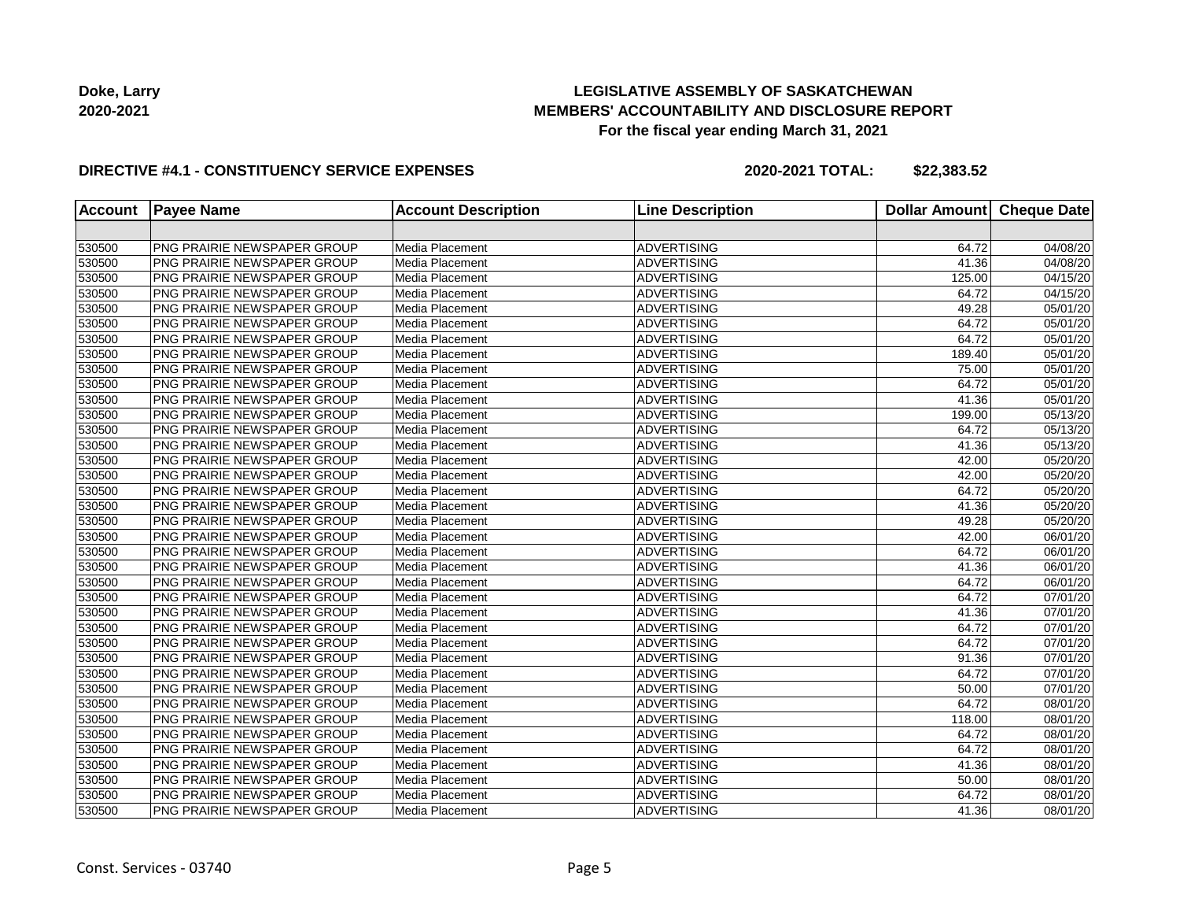

### **DIRECTIVE #4.1 - CONSTITUENCY SERVICE EXPENSES**

| <b>Account</b> | <b>Payee Name</b>                  | <b>Account Description</b> | <b>Line Description</b> | <b>Dollar Amount</b> | <b>Cheque Date</b> |
|----------------|------------------------------------|----------------------------|-------------------------|----------------------|--------------------|
|                |                                    |                            |                         |                      |                    |
| 530500         | PNG PRAIRIE NEWSPAPER GROUP        | Media Placement            | <b>ADVERTISING</b>      | 64.72                | 04/08/20           |
| 530500         | PNG PRAIRIE NEWSPAPER GROUP        | Media Placement            | <b>ADVERTISING</b>      | 41.36                | 04/08/20           |
| 530500         | PNG PRAIRIE NEWSPAPER GROUP        | Media Placement            | ADVERTISING             | 125.00               | 04/15/20           |
| 530500         | PNG PRAIRIE NEWSPAPER GROUP        | Media Placement            | ADVERTISING             | 64.72                | 04/15/20           |
| 530500         | PNG PRAIRIE NEWSPAPER GROUP        | Media Placement            | ADVERTISING             | 49.28                | 05/01/20           |
| 530500         | PNG PRAIRIE NEWSPAPER GROUP        | Media Placement            | <b>ADVERTISING</b>      | 64.72                | 05/01/20           |
| 530500         | PNG PRAIRIE NEWSPAPER GROUP        | Media Placement            | <b>ADVERTISING</b>      | 64.72                | 05/01/20           |
| 530500         | PNG PRAIRIE NEWSPAPER GROUP        | Media Placement            | <b>ADVERTISING</b>      | 189.40               | 05/01/20           |
| 530500         | PNG PRAIRIE NEWSPAPER GROUP        | Media Placement            | ADVERTISING             | 75.00                | 05/01/20           |
| 530500         | PNG PRAIRIE NEWSPAPER GROUP        | Media Placement            | ADVERTISING             | 64.72                | 05/01/20           |
| 530500         | PNG PRAIRIE NEWSPAPER GROUP        | Media Placement            | ADVERTISING             | 41.36                | 05/01/20           |
| 530500         | PNG PRAIRIE NEWSPAPER GROUP        | Media Placement            | <b>ADVERTISING</b>      | 199.00               | 05/13/20           |
| 530500         | PNG PRAIRIE NEWSPAPER GROUP        | Media Placement            | <b>ADVERTISING</b>      | 64.72                | 05/13/20           |
| 530500         | PNG PRAIRIE NEWSPAPER GROUP        | Media Placement            | ADVERTISING             | 41.36                | 05/13/20           |
| 530500         | PNG PRAIRIE NEWSPAPER GROUP        | Media Placement            | ADVERTISING             | 42.00                | 05/20/20           |
| 530500         | PNG PRAIRIE NEWSPAPER GROUP        | Media Placement            | ADVERTISING             | 42.00                | 05/20/20           |
| 530500         | PNG PRAIRIE NEWSPAPER GROUP        | Media Placement            | ADVERTISING             | 64.72                | 05/20/20           |
| 530500         | PNG PRAIRIE NEWSPAPER GROUP        | Media Placement            | <b>ADVERTISING</b>      | 41.36                | 05/20/20           |
| 530500         | PNG PRAIRIE NEWSPAPER GROUP        | Media Placement            | <b>ADVERTISING</b>      | 49.28                | 05/20/20           |
| 530500         | <b>PNG PRAIRIE NEWSPAPER GROUP</b> | Media Placement            | <b>ADVERTISING</b>      | 42.00                | 06/01/20           |
| 530500         | <b>PNG PRAIRIE NEWSPAPER GROUP</b> | Media Placement            | ADVERTISING             | 64.72                | 06/01/20           |
| 530500         | <b>PNG PRAIRIE NEWSPAPER GROUP</b> | Media Placement            | <b>ADVERTISING</b>      | 41.36                | 06/01/20           |
| 530500         | <b>PNG PRAIRIE NEWSPAPER GROUP</b> | Media Placement            | <b>ADVERTISING</b>      | 64.72                | 06/01/20           |
| 530500         | PNG PRAIRIE NEWSPAPER GROUP        | Media Placement            | <b>ADVERTISING</b>      | 64.72                | 07/01/20           |
| 530500         | PNG PRAIRIE NEWSPAPER GROUP        | Media Placement            | <b>ADVERTISING</b>      | 41.36                | 07/01/20           |
| 530500         | PNG PRAIRIE NEWSPAPER GROUP        | Media Placement            | ADVERTISING             | 64.72                | 07/01/20           |
| 530500         | <b>PNG PRAIRIE NEWSPAPER GROUP</b> | Media Placement            | <b>ADVERTISING</b>      | 64.72                | 07/01/20           |
| 530500         | PNG PRAIRIE NEWSPAPER GROUP        | Media Placement            | <b>ADVERTISING</b>      | 91.36                | 07/01/20           |
| 530500         | PNG PRAIRIE NEWSPAPER GROUP        | Media Placement            | <b>ADVERTISING</b>      | 64.72                | 07/01/20           |
| 530500         | PNG PRAIRIE NEWSPAPER GROUP        | Media Placement            | <b>ADVERTISING</b>      | 50.00                | 07/01/20           |
| 530500         | PNG PRAIRIE NEWSPAPER GROUP        | Media Placement            | <b>ADVERTISING</b>      | 64.72                | 08/01/20           |
| 530500         | PNG PRAIRIE NEWSPAPER GROUP        | Media Placement            | ADVERTISING             | 118.00               | 08/01/20           |
| 530500         | PNG PRAIRIE NEWSPAPER GROUP        | Media Placement            | ADVERTISING             | 64.72                | 08/01/20           |
| 530500         | PNG PRAIRIE NEWSPAPER GROUP        | Media Placement            | ADVERTISING             | 64.72                | 08/01/20           |
| 530500         | PNG PRAIRIE NEWSPAPER GROUP        | Media Placement            | <b>ADVERTISING</b>      | 41.36                | 08/01/20           |
| 530500         | PNG PRAIRIE NEWSPAPER GROUP        | Media Placement            | <b>ADVERTISING</b>      | 50.00                | 08/01/20           |
| 530500         | PNG PRAIRIE NEWSPAPER GROUP        | Media Placement            | <b>ADVERTISING</b>      | 64.72                | 08/01/20           |
| 530500         | PNG PRAIRIE NEWSPAPER GROUP        | Media Placement            | ADVERTISING             | 41.36                | 08/01/20           |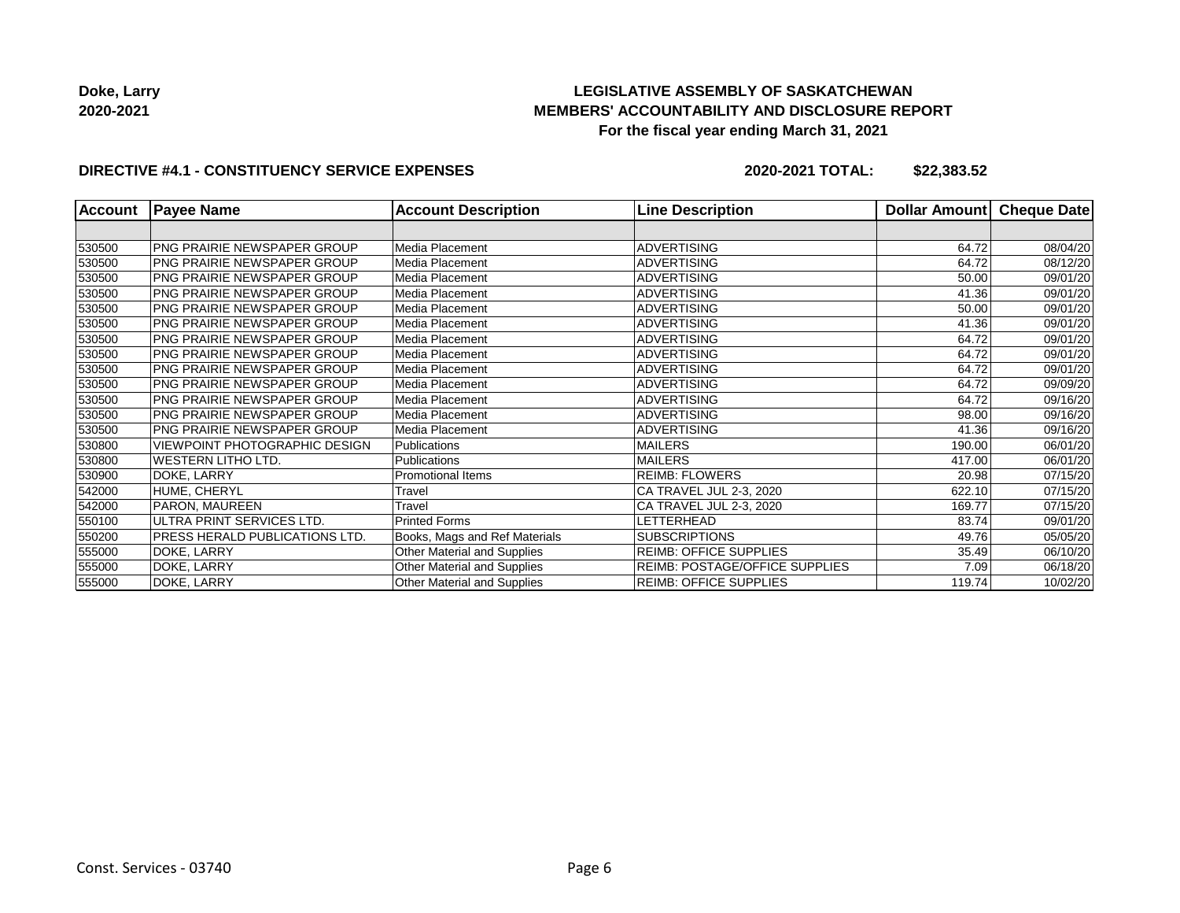**Doke, Larry 2020-2021**

## **LEGISLATIVE ASSEMBLY OF SASKATCHEWAN MEMBERS' ACCOUNTABILITY AND DISCLOSURE REPORT For the fiscal year ending March 31, 2021**

### **DIRECTIVE #4.1 - CONSTITUENCY SERVICE EXPENSES**

| <b>Account</b> | <b>Payee Name</b>                  | <b>Account Description</b>    | <b>Line Description</b>               | Dollar Amount | <b>Cheque Date</b> |
|----------------|------------------------------------|-------------------------------|---------------------------------------|---------------|--------------------|
|                |                                    |                               |                                       |               |                    |
| 530500         | PNG PRAIRIE NEWSPAPER GROUP        | Media Placement               | <b>ADVERTISING</b>                    | 64.72         | 08/04/20           |
| 530500         | <b>PNG PRAIRIE NEWSPAPER GROUP</b> | Media Placement               | <b>ADVERTISING</b>                    | 64.72         | 08/12/20           |
| 530500         | <b>PNG PRAIRIE NEWSPAPER GROUP</b> | Media Placement               | <b>ADVERTISING</b>                    | 50.00         | 09/01/20           |
| 530500         | PNG PRAIRIE NEWSPAPER GROUP        | Media Placement               | <b>ADVERTISING</b>                    | 41.36         | 09/01/20           |
| 530500         | <b>PNG PRAIRIE NEWSPAPER GROUP</b> | Media Placement               | <b>ADVERTISING</b>                    | 50.00         | 09/01/20           |
| 530500         | PNG PRAIRIE NEWSPAPER GROUP        | Media Placement               | <b>ADVERTISING</b>                    | 41.36         | 09/01/20           |
| 530500         | PNG PRAIRIE NEWSPAPER GROUP        | Media Placement               | <b>ADVERTISING</b>                    | 64.72         | 09/01/20           |
| 530500         | PNG PRAIRIE NEWSPAPER GROUP        | Media Placement               | <b>ADVERTISING</b>                    | 64.72         | 09/01/20           |
| 530500         | <b>PNG PRAIRIE NEWSPAPER GROUP</b> | Media Placement               | <b>ADVERTISING</b>                    | 64.72         | 09/01/20           |
| 530500         | <b>PNG PRAIRIE NEWSPAPER GROUP</b> | Media Placement               | <b>ADVERTISING</b>                    | 64.72         | 09/09/20           |
| 530500         | PNG PRAIRIE NEWSPAPER GROUP        | Media Placement               | <b>ADVERTISING</b>                    | 64.72         | 09/16/20           |
| 530500         | <b>PNG PRAIRIE NEWSPAPER GROUP</b> | Media Placement               | <b>ADVERTISING</b>                    | 98.00         | 09/16/20           |
| 530500         | PNG PRAIRIE NEWSPAPER GROUP        | Media Placement               | <b>ADVERTISING</b>                    | 41.36         | 09/16/20           |
| 530800         | VIEWPOINT PHOTOGRAPHIC DESIGN      | <b>Publications</b>           | <b>MAILERS</b>                        | 190.00        | 06/01/20           |
| 530800         | <b>WESTERN LITHO LTD.</b>          | <b>Publications</b>           | <b>MAILERS</b>                        | 417.00        | 06/01/20           |
| 530900         | DOKE, LARRY                        | <b>Promotional Items</b>      | <b>REIMB: FLOWERS</b>                 | 20.98         | 07/15/20           |
| 542000         | HUME, CHERYL                       | Travel                        | CA TRAVEL JUL 2-3, 2020               | 622.10        | 07/15/20           |
| 542000         | PARON, MAUREEN                     | Travel                        | CA TRAVEL JUL 2-3, 2020               | 169.77        | 07/15/20           |
| 550100         | ULTRA PRINT SERVICES LTD.          | <b>Printed Forms</b>          | LETTERHEAD                            | 83.74         | 09/01/20           |
| 550200         | PRESS HERALD PUBLICATIONS LTD.     | Books, Mags and Ref Materials | <b>SUBSCRIPTIONS</b>                  | 49.76         | 05/05/20           |
| 555000         | DOKE, LARRY                        | Other Material and Supplies   | <b>REIMB: OFFICE SUPPLIES</b>         | 35.49         | 06/10/20           |
| 555000         | DOKE, LARRY                        | Other Material and Supplies   | <b>REIMB: POSTAGE/OFFICE SUPPLIES</b> | 7.09          | 06/18/20           |
| 555000         | DOKE, LARRY                        | Other Material and Supplies   | <b>REIMB: OFFICE SUPPLIES</b>         | 119.74        | 10/02/20           |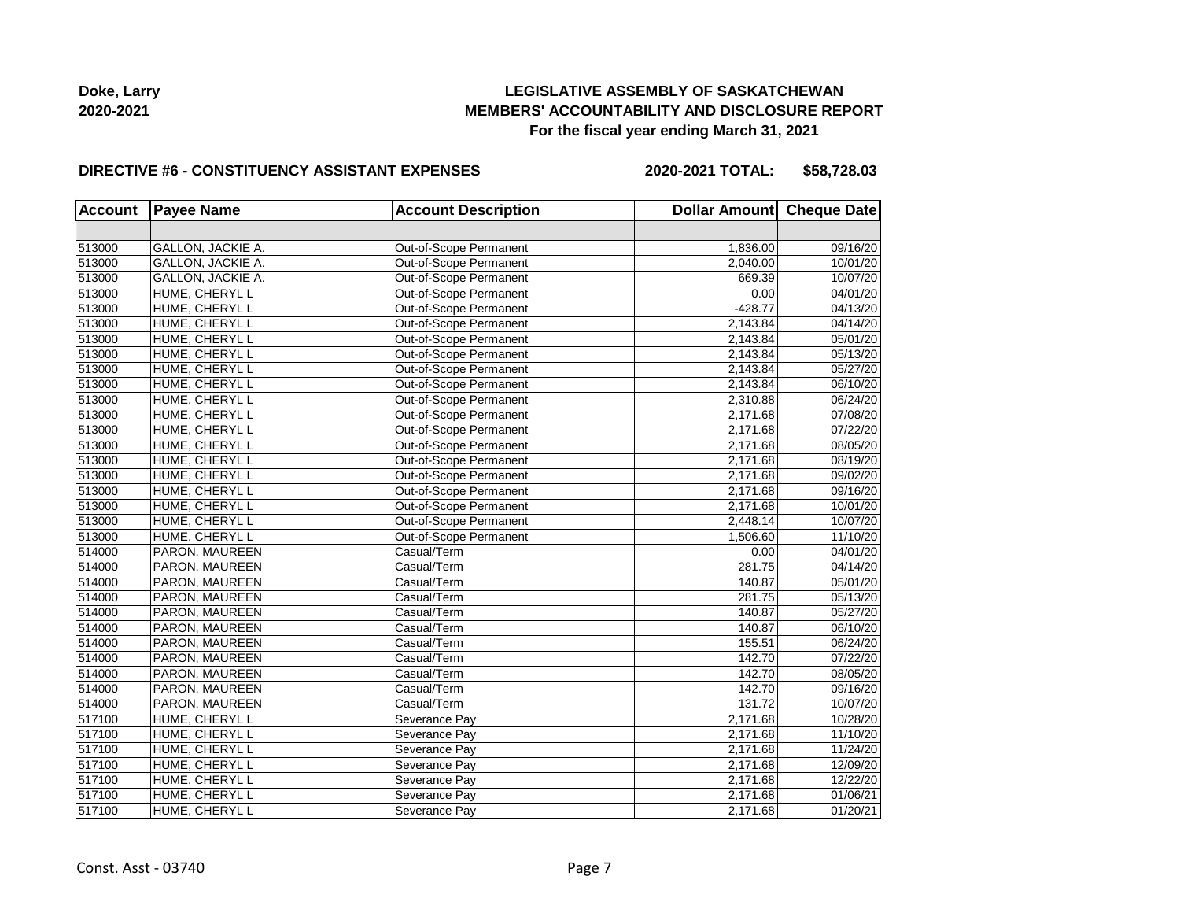

#### **DIRECTIVE #6 - CONSTITUENCY ASSISTANT EXPENSES**

**2020-2021 TOTAL: \$58,728.03**

| <b>Account</b> | <b>Payee Name</b> | <b>Account Description</b> | Dollar Amount Cheque Date |          |
|----------------|-------------------|----------------------------|---------------------------|----------|
|                |                   |                            |                           |          |
| 513000         | GALLON, JACKIE A. | Out-of-Scope Permanent     | 1,836.00                  | 09/16/20 |
| 513000         | GALLON, JACKIE A. | Out-of-Scope Permanent     | 2,040.00                  | 10/01/20 |
| 513000         | GALLON, JACKIE A. | Out-of-Scope Permanent     | 669.39                    | 10/07/20 |
| 513000         | HUME, CHERYL L    | Out-of-Scope Permanent     | 0.00                      | 04/01/20 |
| 513000         | HUME, CHERYL L    | Out-of-Scope Permanent     | $-428.77$                 | 04/13/20 |
| 513000         | HUME, CHERYL L    | Out-of-Scope Permanent     | 2,143.84                  | 04/14/20 |
| 513000         | HUME, CHERYL L    | Out-of-Scope Permanent     | 2,143.84                  | 05/01/20 |
| 513000         | HUME, CHERYL L    | Out-of-Scope Permanent     | 2,143.84                  | 05/13/20 |
| 513000         | HUME, CHERYL L    | Out-of-Scope Permanent     | 2,143.84                  | 05/27/20 |
| 513000         | HUME, CHERYL L    | Out-of-Scope Permanent     | 2,143.84                  | 06/10/20 |
| 513000         | HUME, CHERYL L    | Out-of-Scope Permanent     | 2,310.88                  | 06/24/20 |
| 513000         | HUME, CHERYL L    | Out-of-Scope Permanent     | 2,171.68                  | 07/08/20 |
| 513000         | HUME, CHERYL L    | Out-of-Scope Permanent     | 2,171.68                  | 07/22/20 |
| 513000         | HUME, CHERYL L    | Out-of-Scope Permanent     | 2,171.68                  | 08/05/20 |
| 513000         | HUME, CHERYL L    | Out-of-Scope Permanent     | 2,171.68                  | 08/19/20 |
| 513000         | HUME, CHERYL L    | Out-of-Scope Permanent     | 2,171.68                  | 09/02/20 |
| 513000         | HUME, CHERYL L    | Out-of-Scope Permanent     | 2,171.68                  | 09/16/20 |
| 513000         | HUME, CHERYL L    | Out-of-Scope Permanent     | 2,171.68                  | 10/01/20 |
| 513000         | HUME, CHERYL L    | Out-of-Scope Permanent     | 2,448.14                  | 10/07/20 |
| 513000         | HUME, CHERYL L    | Out-of-Scope Permanent     | 1,506.60                  | 11/10/20 |
| 514000         | PARON, MAUREEN    | Casual/Term                | 0.00                      | 04/01/20 |
| 514000         | PARON, MAUREEN    | Casual/Term                | 281.75                    | 04/14/20 |
| 514000         | PARON, MAUREEN    | Casual/Term                | 140.87                    | 05/01/20 |
| 514000         | PARON, MAUREEN    | Casual/Term                | 281.75                    | 05/13/20 |
| 514000         | PARON, MAUREEN    | Casual/Term                | 140.87                    | 05/27/20 |
| 514000         | PARON, MAUREEN    | Casual/Term                | 140.87                    | 06/10/20 |
| 514000         | PARON, MAUREEN    | Casual/Term                | 155.51                    | 06/24/20 |
| 514000         | PARON, MAUREEN    | Casual/Term                | 142.70                    | 07/22/20 |
| 514000         | PARON, MAUREEN    | Casual/Term                | 142.70                    | 08/05/20 |
| 514000         | PARON, MAUREEN    | Casual/Term                | 142.70                    | 09/16/20 |
| 514000         | PARON, MAUREEN    | Casual/Term                | 131.72                    | 10/07/20 |
| 517100         | HUME, CHERYL L    | Severance Pay              | 2,171.68                  | 10/28/20 |
| 517100         | HUME, CHERYL L    | Severance Pay              | 2,171.68                  | 11/10/20 |
| 517100         | HUME, CHERYL L    | Severance Pay              | 2,171.68                  | 11/24/20 |
| 517100         | HUME, CHERYL L    | Severance Pay              | 2,171.68                  | 12/09/20 |
| 517100         | HUME, CHERYL L    | Severance Pay              | 2,171.68                  | 12/22/20 |
| 517100         | HUME, CHERYL L    | Severance Pay              | 2,171.68                  | 01/06/21 |
| 517100         | HUME, CHERYL L    | Severance Pay              | 2,171.68                  | 01/20/21 |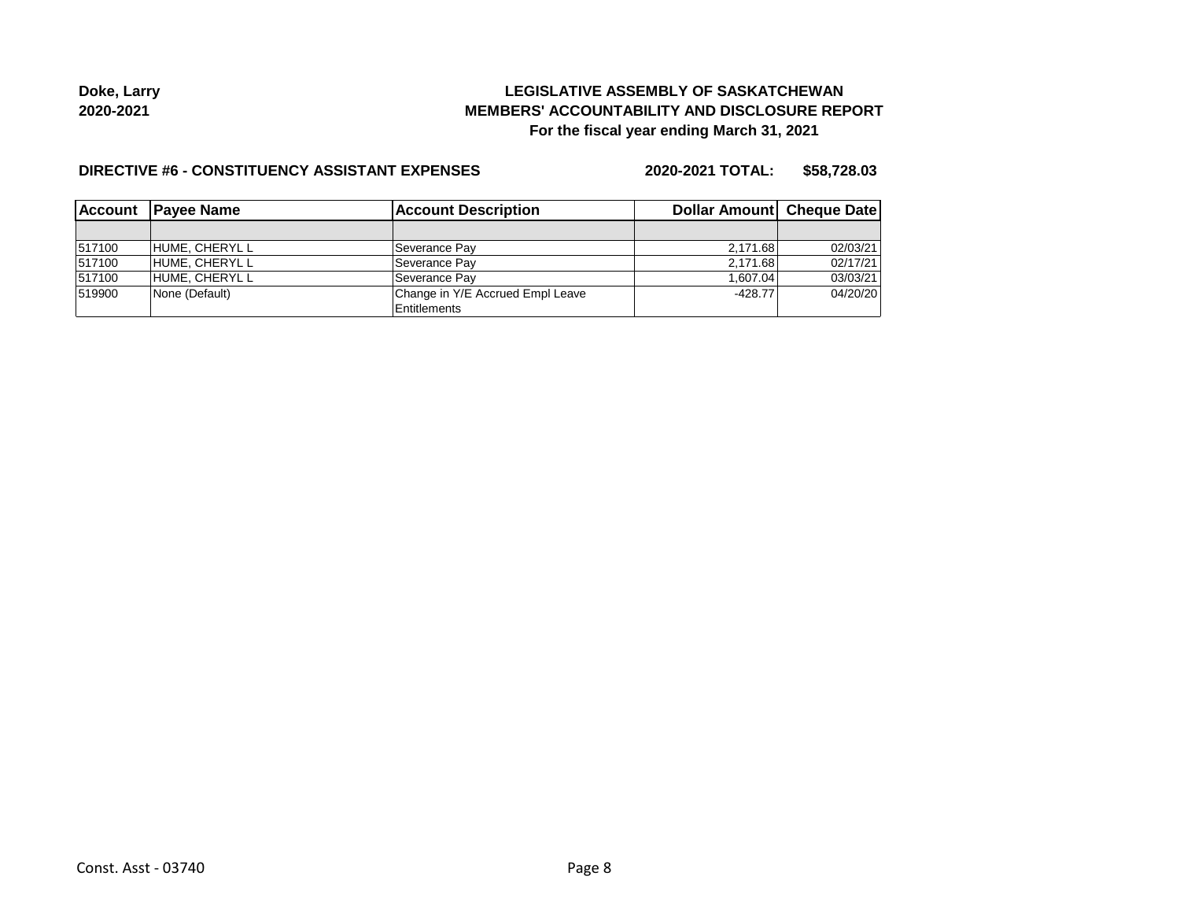**Doke, Larry 2020-2021**

## **LEGISLATIVE ASSEMBLY OF SASKATCHEWAN MEMBERS' ACCOUNTABILITY AND DISCLOSURE REPORT For the fiscal year ending March 31, 2021**

#### **DIRECTIVE #6 - CONSTITUENCY ASSISTANT EXPENSES**

**2020-2021 TOTAL: \$58,728.03**

| <b>IAccount</b> | <b>Account Description</b><br><b>IPavee Name</b> |                                  | Dollar Amount Cheque Date |          |
|-----------------|--------------------------------------------------|----------------------------------|---------------------------|----------|
|                 |                                                  |                                  |                           |          |
| 517100          | IHUME. CHERYL L                                  | Severance Pay                    | 2.171.68                  | 02/03/21 |
| 517100          | HUME, CHERYL L                                   | Severance Pay                    | 2.171.68                  | 02/17/21 |
| 517100          | HUME, CHERYL L                                   | Severance Pay                    | 1.607.04                  | 03/03/21 |
| 519900          | None (Default)                                   | Change in Y/E Accrued Empl Leave | $-428.77$                 | 04/20/20 |
|                 |                                                  | Entitlements                     |                           |          |